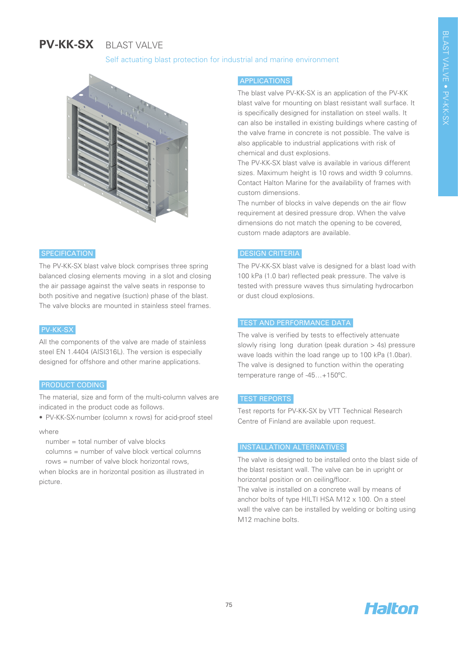# **PV-KK-SX**  BLAST VALVE

# Self actuating blast protection for industrial and marine environment



## **SPECIFICATION**

The PV-KK-SX blast valve block comprises three spring balanced closing elements moving in a slot and closing the air passage against the valve seats in response to both positive and negative (suction) phase of the blast. The valve blocks are mounted in stainless steel frames.

#### PV-KK-SX

All the components of the valve are made of stainless steel EN 1.4404 (AISI316L). The version is especially designed for offshore and other marine applications.

#### PRODUCT CODING

The material, size and form of the multi-column valves are indicated in the product code as follows.

• PV-KK-SX-number (column x rows) for acid-proof steel

where

number = total number of valve blocks

columns = number of valve block vertical columns rows = number of valve block horizontal rows,

when blocks are in horizontal position as illustrated in picture.

## APPLICATIONS

The blast valve PV-KK-SX is an application of the PV-KK blast valve for mounting on blast resistant wall surface. It is specifically designed for installation on steel walls. It can also be installed in existing buildings where casting of the valve frame in concrete is not possible. The valve is also applicable to industrial applications with risk of chemical and dust explosions.

The PV-KK-SX blast valve is available in various different sizes. Maximum height is 10 rows and width 9 columns. Contact Halton Marine for the availability of frames with custom dimensions.

The number of blocks in valve depends on the air flow requirement at desired pressure drop. When the valve dimensions do not match the opening to be covered, custom made adaptors are available.

# DESIGN CRITERIA

The PV-KK-SX blast valve is designed for a blast load with 100 kPa (1.0 bar) reflected peak pressure. The valve is tested with pressure waves thus simulating hydrocarbon or dust cloud explosions.

#### TEST AND PERFORMANCE DATA

The valve is verified by tests to effectively attenuate slowly rising long duration (peak duration > 4s) pressure wave loads within the load range up to 100 kPa (1.0bar). The valve is designed to function within the operating temperature range of -45…+150ºC.

# TEST REPORTS

Test reports for PV-KK-SX by VTT Technical Research Centre of Finland are available upon request.

## INSTALLATION ALTERNATIVES

The valve is designed to be installed onto the blast side of the blast resistant wall. The valve can be in upright or horizontal position or on ceiling/floor.

The valve is installed on a concrete wall by means of anchor bolts of type HILTI HSA M12 x 100. On a steel wall the valve can be installed by welding or bolting using M12 machine bolts.

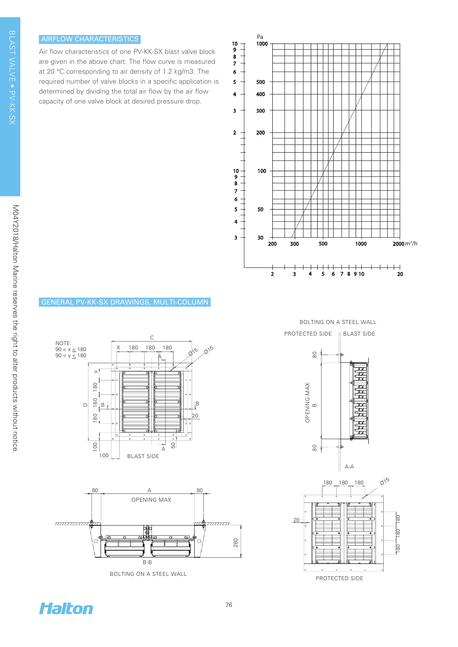## AIRFLOW CHARACTERISTICS

Air flow characteristics of one PV-KK-SX blast valve block are given in the above chart. The flow curve is measured at 20 °C corresponding to air density of 1.2 kg/m3. The required number of valve blocks in a specific application is determined by dividing the total air flow by the air flow capacity of one valve block at desired pressure drop.



# GENERAL PV-KK-SX DRAWINGS, MULTI-COLUMN





BOLTING ON A STEEL WALL

BOLTING ON A STEEL WALL





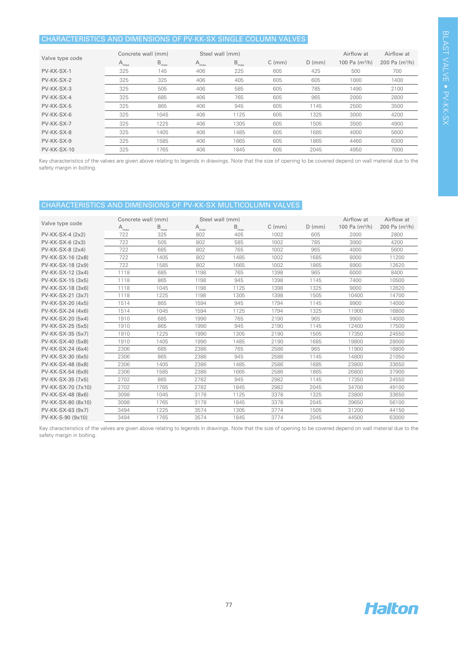# CHARACTERISTICS AND DIMENSIONS OF PV-KK-SX SINGLE COLUMN VALVES

| Valve type code | Concrete wall (mm) |                  | Steel wall (mm)  |                  |             |          | Airflow at       | Airflow at       |
|-----------------|--------------------|------------------|------------------|------------------|-------------|----------|------------------|------------------|
|                 | $A_{\text{max}}$   | $B_{\text{max}}$ | $A_{\text{max}}$ | $B_{\text{max}}$ | $C \, (mm)$ | $D$ (mm) | 100 Pa $(m^3/h)$ | 200 Pa $(m^3/h)$ |
| PV-KK-SX-1      | 325                | 145              | 406              | 225              | 605         | 425      | 500              | 700              |
| PV-KK-SX-2      | 325                | 325              | 406              | 405              | 605         | 605      | 1000             | 1400             |
| PV-KK-SX-3      | 325                | 505              | 406              | 585              | 605         | 785      | 1490             | 2100             |
| PV-KK-SX-4      | 325                | 685              | 406              | 765              | 605         | 965      | 2000             | 2800             |
| PV-KK-SX-5      | 325                | 865              | 406              | 945              | 605         | 1145     | 2500             | 3500             |
| PV-KK-SX-6      | 325                | 1045             | 406              | 1125             | 605         | 1325     | 3000             | 4200             |
| PV-KK-SX-7      | 325                | 1225             | 406              | 1305             | 605         | 1505     | 3500             | 4900             |
| PV-KK-SX-8      | 325                | 1405             | 406              | 1485             | 605         | 1685     | 4000             | 5600             |
| PV-KK-SX-9      | 325                | 1585             | 406              | 1665             | 605         | 1865     | 4460             | 6300             |
| $PV-KK-SX-10$   | 325                | 1765             | 406              | 1845             | 605         | 2045     | 4950             | 7000             |

Key characteristics of the valves are given above relating to legends in drawings. Note that the size of opening to be covered depend on wall material due to the safety margin in bolting.

# CHARACTERISTICS AND DIMENSIONS OF PV-KK-SX MULTICOLUMN VALVES

| Valve type code    | Concrete wall (mm) |                     | Steel wall (mm)  |                  |             |          | Airflow at       | Airflow at       |
|--------------------|--------------------|---------------------|------------------|------------------|-------------|----------|------------------|------------------|
|                    | $A_{max}$          | $\mathsf{B}_{\max}$ | $A_{\text{max}}$ | $B_{\text{max}}$ | $C \, (mm)$ | $D$ (mm) | 100 Pa $(m^3/h)$ | 200 Pa $(m^3/h)$ |
| PV-KK-SX-4 (2x2)   | 722                | 325                 | 802              | 405              | 1002        | 605      | 2000             | 2800             |
| PV-KK-SX-6 (2x3)   | 722                | 505                 | 802              | 585              | 1002        | 785      | 3000             | 4200             |
| PV-KK-SX-8 (2x4)   | 722                | 685                 | 802              | 765              | 1002        | 965      | 4000             | 5600             |
| PV-KK-SX-16 (2x8)  | 722                | 1405                | 802              | 1485             | 1002        | 1685     | 8000             | 11200            |
| PV-KK-SX-18 (2x9)  | 722                | 1585                | 802              | 1665             | 1002        | 1865     | 8900             | 12620            |
| PV-KK-SX-12 (3x4)  | 1118               | 685                 | 1198             | 765              | 1398        | 965      | 6000             | 8400             |
| PV-KK-SX-15 (3x5)  | 1118               | 865                 | 1198             | 945              | 1398        | 1145     | 7400             | 10500            |
| PV-KK-SX-18 (3x6)  | 1118               | 1045                | 1198             | 1125             | 1398        | 1325     | 9000             | 12620            |
| PV-KK-SX-21 (3x7)  | 1118               | 1225                | 1198             | 1305             | 1398        | 1505     | 10400            | 14700            |
| PV-KK-SX-20 (4x5)  | 1514               | 865                 | 1594             | 945              | 1794        | 1145     | 9900             | 14000            |
| PV-KK-SX-24 (4x6)  | 1514               | 1045                | 1594             | 1125             | 1794        | 1325     | 11900            | 16800            |
| PV-KK-SX-20 (5x4)  | 1910               | 685                 | 1990             | 765              | 2190        | 965      | 9900             | 14000            |
| PV-KK-SX-25 (5x5)  | 1910               | 865                 | 1990             | 945              | 2190        | 1145     | 12400            | 17500            |
| PV-KK-SX-35 (5x7)  | 1910               | 1225                | 1990             | 1305             | 2190        | 1505     | 17350            | 24550            |
| PV-KK-SX-40 (5x8)  | 1910               | 1405                | 1990             | 1485             | 2190        | 1685     | 19800            | 28000            |
| PV-KK-SX-24 (6x4)  | 2306               | 685                 | 2386             | 765              | 2586        | 965      | 11900            | 16800            |
| PV-KK-SX-30 (6x5)  | 2306               | 865                 | 2386             | 945              | 2586        | 1145     | 14800            | 21050            |
| PV-KK-SX-48 (6x8)  | 2306               | 1405                | 2386             | 1485             | 2586        | 1685     | 23800            | 33650            |
| PV-KK-SX-54 (6x9)  | 2306               | 1585                | 2386             | 1665             | 2586        | 1865     | 26800            | 37900            |
| PV-KK-SX-35 (7x5)  | 2702               | 865                 | 2782             | 945              | 2982        | 1145     | 17350            | 24550            |
| PV-KK-SX-70 (7x10) | 2702               | 1765                | 2782             | 1845             | 2982        | 2045     | 34700            | 49100            |
| PV-KK-SX-48 (8x6)  | 3098               | 1045                | 3178             | 1125             | 3378        | 1325     | 23800            | 33650            |
| PV-KK-SX-80 (8x10) | 3098               | 1765                | 3178             | 1845             | 3378        | 2045     | 39650            | 56100            |
| PV-KK-SX-63 (9x7)  | 3494               | 1225                | 3574             | 1305             | 3774        | 1505     | 31200            | 44150            |
| PV-KK-S-90 (9x10)  | 3494               | 1765                | 3574             | 1845             | 3774        | 2045     | 44500            | 63000            |

Key characteristics of the valves are given above relating to legends in drawings. Note that the size of opening to be covered depend on wall material due to the safety margin in bolting.